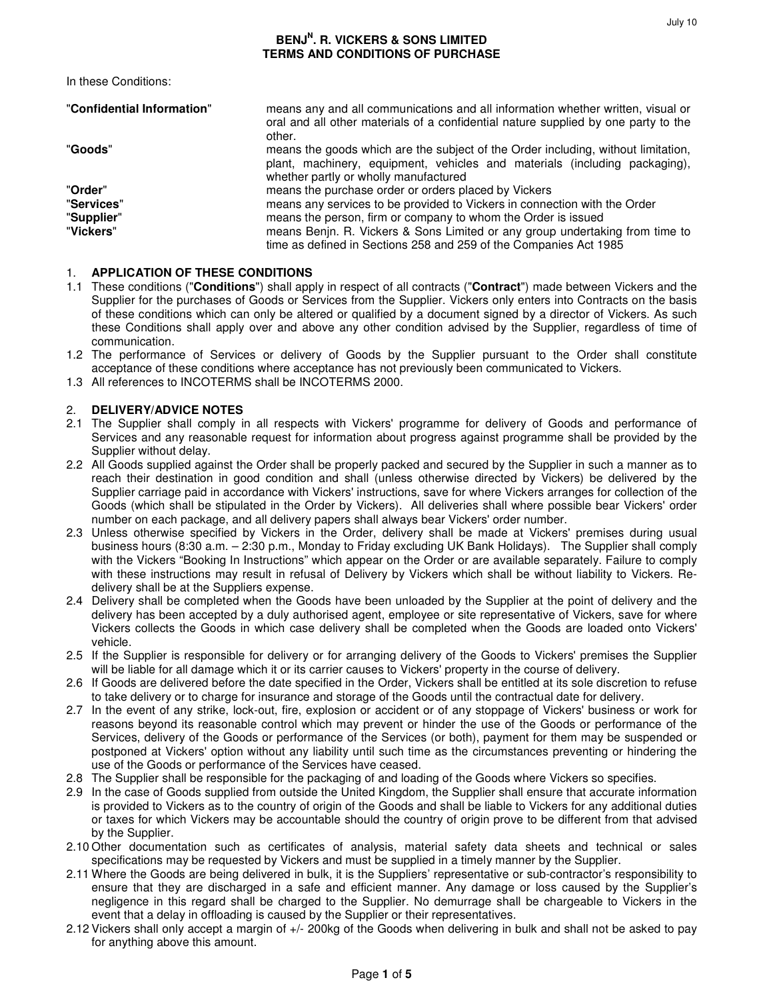### **BENJ<sup>N</sup> . R. VICKERS & SONS LIMITED TERMS AND CONDITIONS OF PURCHASE**

In these Conditions:

| "Confidential Information" | means any and all communications and all information whether written, visual or<br>oral and all other materials of a confidential nature supplied by one party to the<br>other.                          |
|----------------------------|----------------------------------------------------------------------------------------------------------------------------------------------------------------------------------------------------------|
| "Goods"                    | means the goods which are the subject of the Order including, without limitation,<br>plant, machinery, equipment, vehicles and materials (including packaging),<br>whether partly or wholly manufactured |
| "Order"                    | means the purchase order or orders placed by Vickers                                                                                                                                                     |
| "Services"                 | means any services to be provided to Vickers in connection with the Order                                                                                                                                |
| "Supplier"                 | means the person, firm or company to whom the Order is issued                                                                                                                                            |
| "Vickers"                  | means Benjn. R. Vickers & Sons Limited or any group undertaking from time to<br>time as defined in Sections 258 and 259 of the Companies Act 1985                                                        |

#### 1. **APPLICATION OF THESE CONDITIONS**

- 1.1 These conditions ("**Conditions**") shall apply in respect of all contracts ("**Contract**") made between Vickers and the Supplier for the purchases of Goods or Services from the Supplier. Vickers only enters into Contracts on the basis of these conditions which can only be altered or qualified by a document signed by a director of Vickers. As such these Conditions shall apply over and above any other condition advised by the Supplier, regardless of time of communication.
- 1.2 The performance of Services or delivery of Goods by the Supplier pursuant to the Order shall constitute acceptance of these conditions where acceptance has not previously been communicated to Vickers.
- 1.3 All references to INCOTERMS shall be INCOTERMS 2000.

#### 2. **DELIVERY/ADVICE NOTES**

- 2.1 The Supplier shall comply in all respects with Vickers' programme for delivery of Goods and performance of Services and any reasonable request for information about progress against programme shall be provided by the Supplier without delay.
- 2.2 All Goods supplied against the Order shall be properly packed and secured by the Supplier in such a manner as to reach their destination in good condition and shall (unless otherwise directed by Vickers) be delivered by the Supplier carriage paid in accordance with Vickers' instructions, save for where Vickers arranges for collection of the Goods (which shall be stipulated in the Order by Vickers). All deliveries shall where possible bear Vickers' order number on each package, and all delivery papers shall always bear Vickers' order number.
- 2.3 Unless otherwise specified by Vickers in the Order, delivery shall be made at Vickers' premises during usual business hours (8:30 a.m. – 2:30 p.m., Monday to Friday excluding UK Bank Holidays). The Supplier shall comply with the Vickers "Booking In Instructions" which appear on the Order or are available separately. Failure to comply with these instructions may result in refusal of Delivery by Vickers which shall be without liability to Vickers. Redelivery shall be at the Suppliers expense.
- 2.4 Delivery shall be completed when the Goods have been unloaded by the Supplier at the point of delivery and the delivery has been accepted by a duly authorised agent, employee or site representative of Vickers, save for where Vickers collects the Goods in which case delivery shall be completed when the Goods are loaded onto Vickers' vehicle.
- 2.5 If the Supplier is responsible for delivery or for arranging delivery of the Goods to Vickers' premises the Supplier will be liable for all damage which it or its carrier causes to Vickers' property in the course of delivery.
- 2.6 If Goods are delivered before the date specified in the Order, Vickers shall be entitled at its sole discretion to refuse to take delivery or to charge for insurance and storage of the Goods until the contractual date for delivery.
- 2.7 In the event of any strike, lock-out, fire, explosion or accident or of any stoppage of Vickers' business or work for reasons beyond its reasonable control which may prevent or hinder the use of the Goods or performance of the Services, delivery of the Goods or performance of the Services (or both), payment for them may be suspended or postponed at Vickers' option without any liability until such time as the circumstances preventing or hindering the use of the Goods or performance of the Services have ceased.
- 2.8 The Supplier shall be responsible for the packaging of and loading of the Goods where Vickers so specifies.
- 2.9 In the case of Goods supplied from outside the United Kingdom, the Supplier shall ensure that accurate information is provided to Vickers as to the country of origin of the Goods and shall be liable to Vickers for any additional duties or taxes for which Vickers may be accountable should the country of origin prove to be different from that advised by the Supplier.
- 2.10 Other documentation such as certificates of analysis, material safety data sheets and technical or sales specifications may be requested by Vickers and must be supplied in a timely manner by the Supplier.
- 2.11 Where the Goods are being delivered in bulk, it is the Suppliers' representative or sub-contractor's responsibility to ensure that they are discharged in a safe and efficient manner. Any damage or loss caused by the Supplier's negligence in this regard shall be charged to the Supplier. No demurrage shall be chargeable to Vickers in the event that a delay in offloading is caused by the Supplier or their representatives.
- 2.12 Vickers shall only accept a margin of +/- 200kg of the Goods when delivering in bulk and shall not be asked to pay for anything above this amount.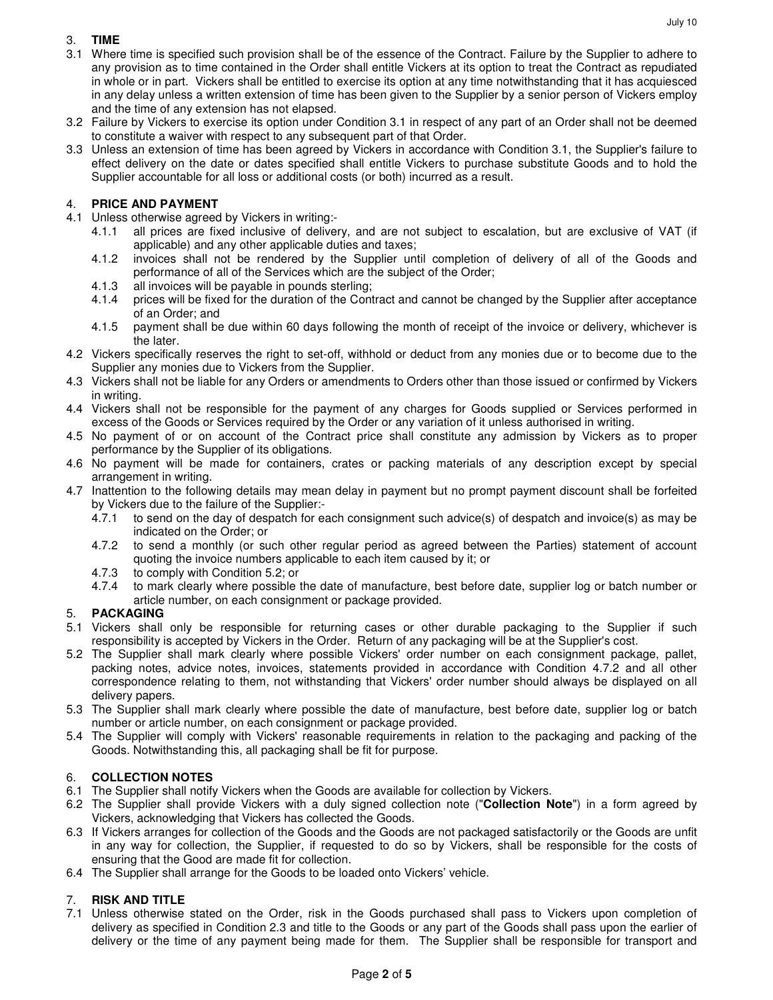### 3. **TIME**

- 3.1 Where time is specified such provision shall be of the essence of the Contract. Failure by the Supplier to adhere to any provision as to time contained in the Order shall entitle Vickers at its option to treat the Contract as repudiated in whole or in part. Vickers shall be entitled to exercise its option at any time notwithstanding that it has acquiesced in any delay unless a written extension of time has been given to the Supplier by a senior person of Vickers employ and the time of any extension has not elapsed.
- 3.2 Failure by Vickers to exercise its option under Condition 3.1 in respect of any part of an Order shall not be deemed to constitute a waiver with respect to any subsequent part of that Order.
- 3.3 Unless an extension of time has been agreed by Vickers in accordance with Condition 3.1, the Supplier's failure to effect delivery on the date or dates specified shall entitle Vickers to purchase substitute Goods and to hold the Supplier accountable for all loss or additional costs (or both) incurred as a result.

# 4. **PRICE AND PAYMENT**

- 4.1 Unless otherwise agreed by Vickers in writing:-
	- 4.1.1 all prices are fixed inclusive of delivery, and are not subject to escalation, but are exclusive of VAT (if applicable) and any other applicable duties and taxes;
	- 4.1.2 invoices shall not be rendered by the Supplier until completion of delivery of all of the Goods and performance of all of the Services which are the subject of the Order;
	- 4.1.3 all invoices will be payable in pounds sterling;
	- 4.1.4 prices will be fixed for the duration of the Contract and cannot be changed by the Supplier after acceptance of an Order; and
	- 4.1.5 payment shall be due within 60 days following the month of receipt of the invoice or delivery, whichever is the later.
- 4.2 Vickers specifically reserves the right to set-off, withhold or deduct from any monies due or to become due to the Supplier any monies due to Vickers from the Supplier.
- 4.3 Vickers shall not be liable for any Orders or amendments to Orders other than those issued or confirmed by Vickers in writing.
- 4.4 Vickers shall not be responsible for the payment of any charges for Goods supplied or Services performed in excess of the Goods or Services required by the Order or any variation of it unless authorised in writing.
- 4.5 No payment of or on account of the Contract price shall constitute any admission by Vickers as to proper performance by the Supplier of its obligations.
- 4.6 No payment will be made for containers, crates or packing materials of any description except by special arrangement in writing.
- 4.7 Inattention to the following details may mean delay in payment but no prompt payment discount shall be forfeited by Vickers due to the failure of the Supplier:-
	- 4.7.1 to send on the day of despatch for each consignment such advice(s) of despatch and invoice(s) as may be indicated on the Order; or
	- 4.7.2 to send a monthly (or such other regular period as agreed between the Parties) statement of account quoting the invoice numbers applicable to each item caused by it; or
	- 4.7.3 to comply with Condition 5.2; or
	- 4.7.4 to mark clearly where possible the date of manufacture, best before date, supplier log or batch number or article number, on each consignment or package provided.

# 5. **PACKAGING**

- 5.1 Vickers shall only be responsible for returning cases or other durable packaging to the Supplier if such responsibility is accepted by Vickers in the Order. Return of any packaging will be at the Supplier's cost.
- 5.2 The Supplier shall mark clearly where possible Vickers' order number on each consignment package, pallet, packing notes, advice notes, invoices, statements provided in accordance with Condition 4.7.2 and all other correspondence relating to them, not withstanding that Vickers' order number should always be displayed on all delivery papers.
- 5.3 The Supplier shall mark clearly where possible the date of manufacture, best before date, supplier log or batch number or article number, on each consignment or package provided.
- 5.4 The Supplier will comply with Vickers' reasonable requirements in relation to the packaging and packing of the Goods. Notwithstanding this, all packaging shall be fit for purpose.

# 6. **COLLECTION NOTES**

- 6.1 The Supplier shall notify Vickers when the Goods are available for collection by Vickers.
- 6.2 The Supplier shall provide Vickers with a duly signed collection note ("**Collection Note**") in a form agreed by Vickers, acknowledging that Vickers has collected the Goods.
- 6.3 If Vickers arranges for collection of the Goods and the Goods are not packaged satisfactorily or the Goods are unfit in any way for collection, the Supplier, if requested to do so by Vickers, shall be responsible for the costs of ensuring that the Good are made fit for collection.
- 6.4 The Supplier shall arrange for the Goods to be loaded onto Vickers' vehicle.

# 7. **RISK AND TITLE**

7.1 Unless otherwise stated on the Order, risk in the Goods purchased shall pass to Vickers upon completion of delivery as specified in Condition 2.3 and title to the Goods or any part of the Goods shall pass upon the earlier of delivery or the time of any payment being made for them. The Supplier shall be responsible for transport and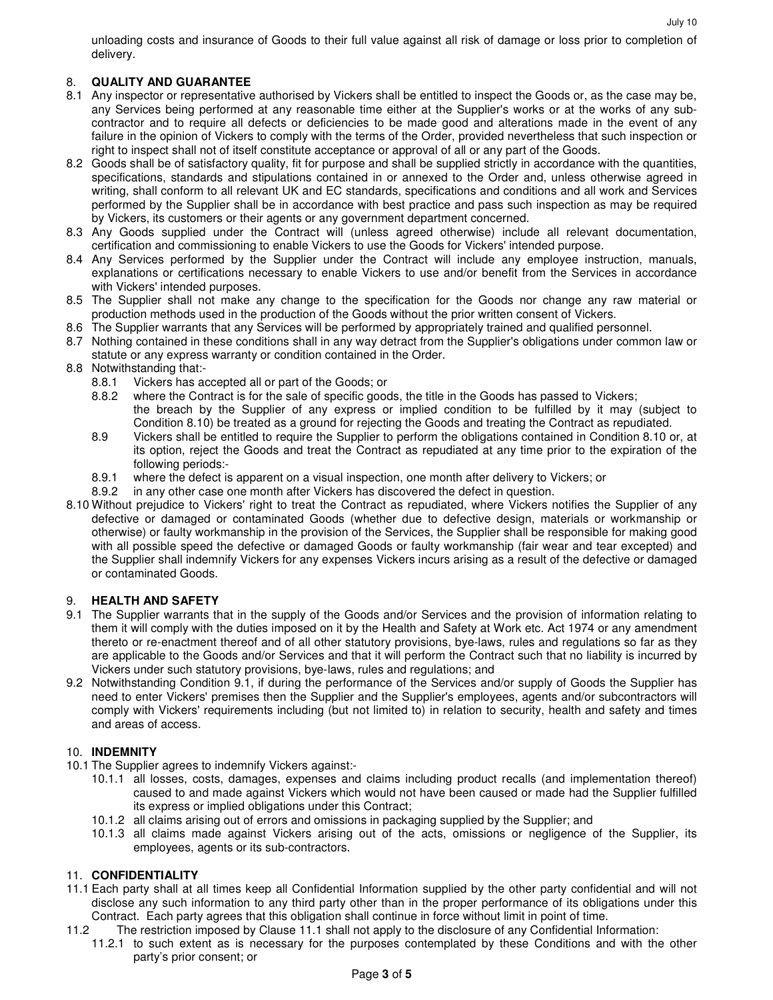# 8. **QUALITY AND GUARANTEE**

delivery.

- 8.1 Any inspector or representative authorised by Vickers shall be entitled to inspect the Goods or, as the case may be, any Services being performed at any reasonable time either at the Supplier's works or at the works of any subcontractor and to require all defects or deficiencies to be made good and alterations made in the event of any failure in the opinion of Vickers to comply with the terms of the Order, provided nevertheless that such inspection or right to inspect shall not of itself constitute acceptance or approval of all or any part of the Goods.
- 8.2 Goods shall be of satisfactory quality, fit for purpose and shall be supplied strictly in accordance with the quantities, specifications, standards and stipulations contained in or annexed to the Order and, unless otherwise agreed in writing, shall conform to all relevant UK and EC standards, specifications and conditions and all work and Services performed by the Supplier shall be in accordance with best practice and pass such inspection as may be required by Vickers, its customers or their agents or any government department concerned.
- 8.3 Any Goods supplied under the Contract will (unless agreed otherwise) include all relevant documentation, certification and commissioning to enable Vickers to use the Goods for Vickers' intended purpose.
- 8.4 Any Services performed by the Supplier under the Contract will include any employee instruction, manuals, explanations or certifications necessary to enable Vickers to use and/or benefit from the Services in accordance with Vickers' intended purposes.
- 8.5 The Supplier shall not make any change to the specification for the Goods nor change any raw material or production methods used in the production of the Goods without the prior written consent of Vickers.
- 8.6 The Supplier warrants that any Services will be performed by appropriately trained and qualified personnel.
- 8.7 Nothing contained in these conditions shall in any way detract from the Supplier's obligations under common law or statute or any express warranty or condition contained in the Order.
- 8.8 Notwithstanding that:-
	- 8.8.1 Vickers has accepted all or part of the Goods; or
	- 8.8.2 where the Contract is for the sale of specific goods, the title in the Goods has passed to Vickers; the breach by the Supplier of any express or implied condition to be fulfilled by it may (subject to Condition 8.10) be treated as a ground for rejecting the Goods and treating the Contract as repudiated.
	- 8.9 Vickers shall be entitled to require the Supplier to perform the obligations contained in Condition 8.10 or, at its option, reject the Goods and treat the Contract as repudiated at any time prior to the expiration of the following periods:-
	- 8.9.1 where the defect is apparent on a visual inspection, one month after delivery to Vickers; or
	- 8.9.2 in any other case one month after Vickers has discovered the defect in question.
- 8.10 Without prejudice to Vickers' right to treat the Contract as repudiated, where Vickers notifies the Supplier of any defective or damaged or contaminated Goods (whether due to defective design, materials or workmanship or otherwise) or faulty workmanship in the provision of the Services, the Supplier shall be responsible for making good with all possible speed the defective or damaged Goods or faulty workmanship (fair wear and tear excepted) and the Supplier shall indemnify Vickers for any expenses Vickers incurs arising as a result of the defective or damaged or contaminated Goods.

# 9. **HEALTH AND SAFETY**

- 9.1 The Supplier warrants that in the supply of the Goods and/or Services and the provision of information relating to them it will comply with the duties imposed on it by the Health and Safety at Work etc. Act 1974 or any amendment thereto or re-enactment thereof and of all other statutory provisions, bye-laws, rules and regulations so far as they are applicable to the Goods and/or Services and that it will perform the Contract such that no liability is incurred by Vickers under such statutory provisions, bye-laws, rules and regulations; and
- 9.2 Notwithstanding Condition 9.1, if during the performance of the Services and/or supply of Goods the Supplier has need to enter Vickers' premises then the Supplier and the Supplier's employees, agents and/or subcontractors will comply with Vickers' requirements including (but not limited to) in relation to security, health and safety and times and areas of access.

# 10. **INDEMNITY**

- 10.1 The Supplier agrees to indemnify Vickers against:-
	- 10.1.1 all losses, costs, damages, expenses and claims including product recalls (and implementation thereof) caused to and made against Vickers which would not have been caused or made had the Supplier fulfilled its express or implied obligations under this Contract;
	- 10.1.2 all claims arising out of errors and omissions in packaging supplied by the Supplier; and
	- 10.1.3 all claims made against Vickers arising out of the acts, omissions or negligence of the Supplier, its employees, agents or its sub-contractors.

# 11. **CONFIDENTIALITY**

- 11.1 Each party shall at all times keep all Confidential Information supplied by the other party confidential and will not disclose any such information to any third party other than in the proper performance of its obligations under this Contract. Each party agrees that this obligation shall continue in force without limit in point of time.
- 11.2 The restriction imposed by Clause 11.1 shall not apply to the disclosure of any Confidential Information:
	- 11.2.1 to such extent as is necessary for the purposes contemplated by these Conditions and with the other party's prior consent; or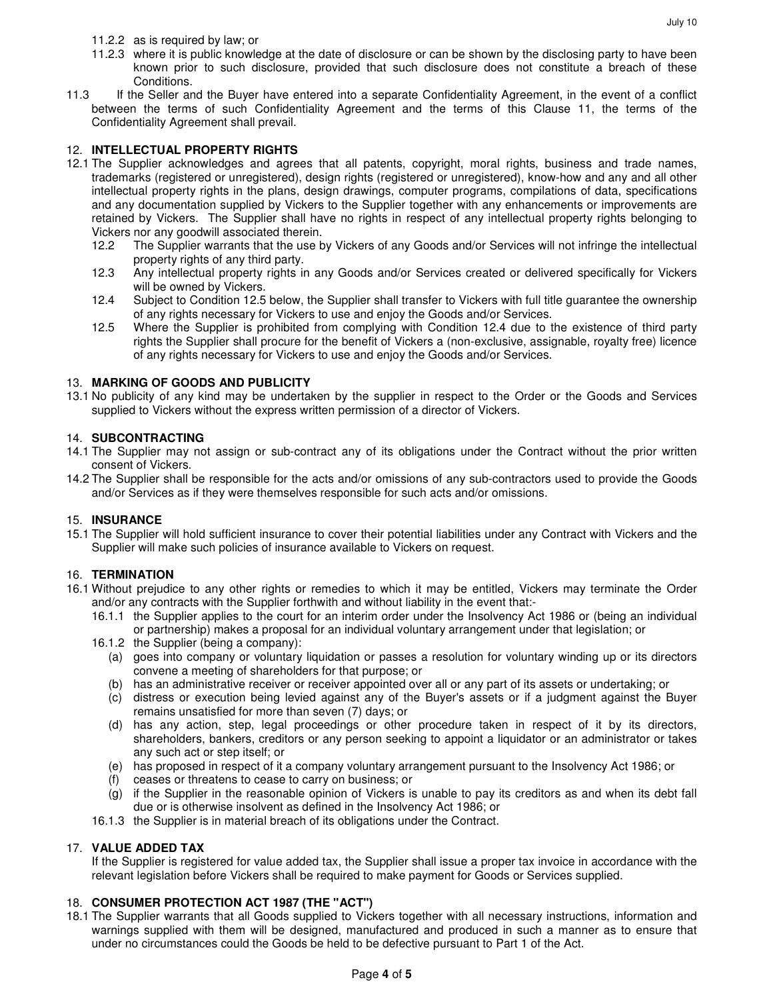- 11.2.3 where it is public knowledge at the date of disclosure or can be shown by the disclosing party to have been known prior to such disclosure, provided that such disclosure does not constitute a breach of these Conditions.
- 11.3 If the Seller and the Buyer have entered into a separate Confidentiality Agreement, in the event of a conflict between the terms of such Confidentiality Agreement and the terms of this Clause 11, the terms of the Confidentiality Agreement shall prevail.

### 12. **INTELLECTUAL PROPERTY RIGHTS**

- 12.1 The Supplier acknowledges and agrees that all patents, copyright, moral rights, business and trade names, trademarks (registered or unregistered), design rights (registered or unregistered), know-how and any and all other intellectual property rights in the plans, design drawings, computer programs, compilations of data, specifications and any documentation supplied by Vickers to the Supplier together with any enhancements or improvements are retained by Vickers. The Supplier shall have no rights in respect of any intellectual property rights belonging to Vickers nor any goodwill associated therein.
	- 12.2 The Supplier warrants that the use by Vickers of any Goods and/or Services will not infringe the intellectual property rights of any third party.
	- 12.3 Any intellectual property rights in any Goods and/or Services created or delivered specifically for Vickers will be owned by Vickers.
	- 12.4 Subject to Condition 12.5 below, the Supplier shall transfer to Vickers with full title guarantee the ownership of any rights necessary for Vickers to use and enjoy the Goods and/or Services.
	- 12.5 Where the Supplier is prohibited from complying with Condition 12.4 due to the existence of third party rights the Supplier shall procure for the benefit of Vickers a (non-exclusive, assignable, royalty free) licence of any rights necessary for Vickers to use and enjoy the Goods and/or Services.

### 13. **MARKING OF GOODS AND PUBLICITY**

13.1 No publicity of any kind may be undertaken by the supplier in respect to the Order or the Goods and Services supplied to Vickers without the express written permission of a director of Vickers.

### 14. **SUBCONTRACTING**

- 14.1 The Supplier may not assign or sub-contract any of its obligations under the Contract without the prior written consent of Vickers.
- 14.2 The Supplier shall be responsible for the acts and/or omissions of any sub-contractors used to provide the Goods and/or Services as if they were themselves responsible for such acts and/or omissions.

### 15. **INSURANCE**

15.1 The Supplier will hold sufficient insurance to cover their potential liabilities under any Contract with Vickers and the Supplier will make such policies of insurance available to Vickers on request.

### 16. **TERMINATION**

- 16.1 Without prejudice to any other rights or remedies to which it may be entitled, Vickers may terminate the Order and/or any contracts with the Supplier forthwith and without liability in the event that:-
	- 16.1.1 the Supplier applies to the court for an interim order under the Insolvency Act 1986 or (being an individual or partnership) makes a proposal for an individual voluntary arrangement under that legislation; or
	- 16.1.2 the Supplier (being a company):
		- (a) goes into company or voluntary liquidation or passes a resolution for voluntary winding up or its directors convene a meeting of shareholders for that purpose; or
		- (b) has an administrative receiver or receiver appointed over all or any part of its assets or undertaking; or
		- (c) distress or execution being levied against any of the Buyer's assets or if a judgment against the Buyer remains unsatisfied for more than seven (7) days; or
		- (d) has any action, step, legal proceedings or other procedure taken in respect of it by its directors, shareholders, bankers, creditors or any person seeking to appoint a liquidator or an administrator or takes any such act or step itself; or
		- (e) has proposed in respect of it a company voluntary arrangement pursuant to the Insolvency Act 1986; or
		- (f) ceases or threatens to cease to carry on business; or
		- (g) if the Supplier in the reasonable opinion of Vickers is unable to pay its creditors as and when its debt fall due or is otherwise insolvent as defined in the Insolvency Act 1986; or
	- 16.1.3 the Supplier is in material breach of its obligations under the Contract.

### 17. **VALUE ADDED TAX**

 If the Supplier is registered for value added tax, the Supplier shall issue a proper tax invoice in accordance with the relevant legislation before Vickers shall be required to make payment for Goods or Services supplied.

# 18. **CONSUMER PROTECTION ACT 1987 (THE "ACT")**

18.1 The Supplier warrants that all Goods supplied to Vickers together with all necessary instructions, information and warnings supplied with them will be designed, manufactured and produced in such a manner as to ensure that under no circumstances could the Goods be held to be defective pursuant to Part 1 of the Act.